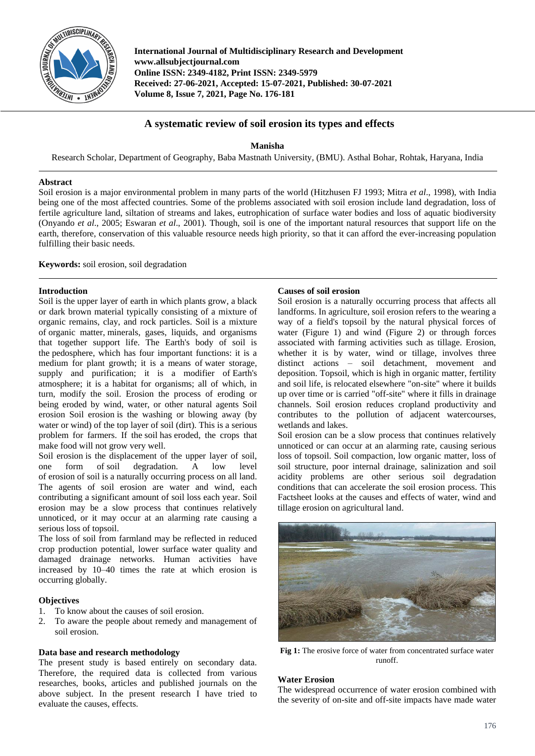

**International Journal of Multidisciplinary Research and Development www.allsubjectjournal.com Online ISSN: 2349-4182, Print ISSN: 2349-5979 Received: 27-06-2021, Accepted: 15-07-2021, Published: 30-07-2021 Volume 8, Issue 7, 2021, Page No. 176-181**

# **A systematic review of soil erosion its types and effects**

**Manisha**

Research Scholar, Department of Geography, Baba Mastnath University*,* (BMU). Asthal Bohar, Rohtak, Haryana, India

### **Abstract**

Soil erosion is a major environmental problem in many parts of the world (Hitzhusen FJ 1993; Mitra *et al*., 1998), with India being one of the most affected countries. Some of the problems associated with soil erosion include land degradation, loss of fertile agriculture land, siltation of streams and lakes, eutrophication of surface water bodies and loss of aquatic biodiversity (Onyando *et al*., 2005; Eswaran *et al*., 2001). Though, soil is one of the important natural resources that support life on the earth, therefore, conservation of this valuable resource needs high priority, so that it can afford the ever-increasing population fulfilling their basic needs.

**Keywords:** soil erosion, soil degradation

### **Introduction**

Soil is the upper layer of earth in which plants grow, a black or dark brown material typically consisting of a mixture of organic remains, clay, and rock particles. Soil is a mixture of organic matter, minerals, gases, liquids, and organisms that together support life. The Earth's body of soil is the pedosphere, which has four important functions: it is a medium for plant growth; it is a means of water storage, supply and purification; it is a modifier of Earth's atmosphere; it is a habitat for organisms; all of which, in turn, modify the soil. Erosion the process of eroding or being eroded by wind, water, or other natural agents Soil erosion Soil erosion is the washing or blowing away (by water or wind) of the top layer of soil (dirt). This is a serious problem for farmers. If the soil has eroded, the crops that make food will not grow very well.

Soil erosion is the displacement of the upper layer of soil, one form of soil degradation. A low level of erosion of soil is a naturally occurring process on all land. The agents of soil erosion are water and wind, each contributing a significant amount of soil loss each year. Soil erosion may be a slow process that continues relatively unnoticed, or it may occur at an alarming rate causing a serious loss of topsoil.

The loss of soil from farmland may be reflected in reduced crop production potential, lower surface water quality and damaged drainage networks. Human activities have increased by 10–40 times the rate at which erosion is occurring globally.

### **Objectives**

- 1. To know about the causes of soil erosion.
- 2. To aware the people about remedy and management of soil erosion.

# **Data base and research methodology**

The present study is based entirely on secondary data. Therefore, the required data is collected from various researches, books, articles and published journals on the above subject. In the present research I have tried to evaluate the causes, effects.

### **Causes of soil erosion**

Soil erosion is a naturally occurring process that affects all landforms. In agriculture, soil erosion refers to the wearing a way of a field's topsoil by the natural physical forces of water (Figure 1) and wind (Figure 2) or through forces associated with farming activities such as tillage. Erosion, whether it is by water, wind or tillage, involves three distinct actions – soil detachment, movement and deposition. Topsoil, which is high in organic matter, fertility and soil life, is relocated elsewhere "on-site" where it builds up over time or is carried "off-site" where it fills in drainage channels. Soil erosion reduces cropland productivity and contributes to the pollution of adjacent watercourses, wetlands and lakes.

Soil erosion can be a slow process that continues relatively unnoticed or can occur at an alarming rate, causing serious loss of topsoil. Soil compaction, low organic matter, loss of soil structure, poor internal drainage, salinization and soil acidity problems are other serious soil degradation conditions that can accelerate the soil erosion process. This Factsheet looks at the causes and effects of water, wind and tillage erosion on agricultural land.



**Fig 1:** The erosive force of water from concentrated surface water runoff.

### **Water Erosion**

The widespread occurrence of water erosion combined with the severity of on-site and off-site impacts have made water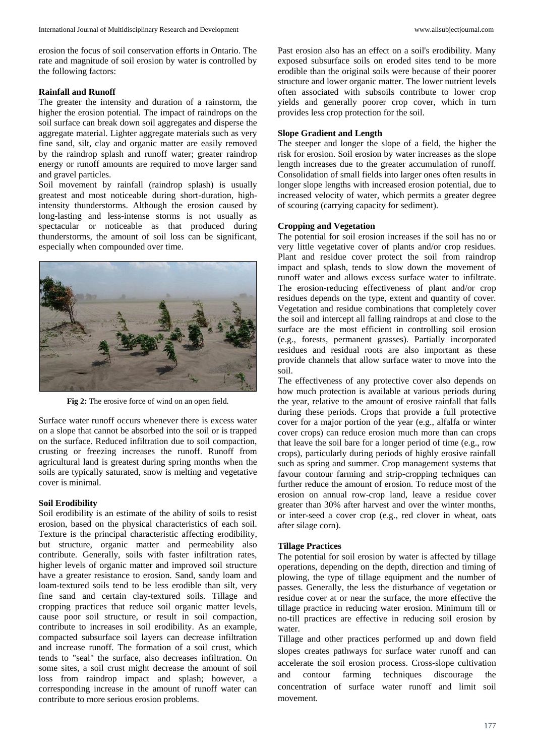erosion the focus of soil conservation efforts in Ontario. The rate and magnitude of soil erosion by water is controlled by the following factors:

#### **Rainfall and Runoff**

The greater the intensity and duration of a rainstorm, the higher the erosion potential. The impact of raindrops on the soil surface can break down soil aggregates and disperse the aggregate material. Lighter aggregate materials such as very fine sand, silt, clay and organic matter are easily removed by the raindrop splash and runoff water; greater raindrop energy or runoff amounts are required to move larger sand and gravel particles.

Soil movement by rainfall (raindrop splash) is usually greatest and most noticeable during short-duration, highintensity thunderstorms. Although the erosion caused by long-lasting and less-intense storms is not usually as spectacular or noticeable as that produced during thunderstorms, the amount of soil loss can be significant, especially when compounded over time.



**Fig 2:** The erosive force of wind on an open field.

Surface water runoff occurs whenever there is excess water on a slope that cannot be absorbed into the soil or is trapped on the surface. Reduced infiltration due to soil compaction, crusting or freezing increases the runoff. Runoff from agricultural land is greatest during spring months when the soils are typically saturated, snow is melting and vegetative cover is minimal.

### **Soil Erodibility**

Soil erodibility is an estimate of the ability of soils to resist erosion, based on the physical characteristics of each soil. Texture is the principal characteristic affecting erodibility, but structure, organic matter and permeability also contribute. Generally, soils with faster infiltration rates, higher levels of organic matter and improved soil structure have a greater resistance to erosion. Sand, sandy loam and loam-textured soils tend to be less erodible than silt, very fine sand and certain clay-textured soils. Tillage and cropping practices that reduce soil organic matter levels, cause poor soil structure, or result in soil compaction, contribute to increases in soil erodibility. As an example, compacted subsurface soil layers can decrease infiltration and increase runoff. The formation of a soil crust, which tends to "seal" the surface, also decreases infiltration. On some sites, a soil crust might decrease the amount of soil loss from raindrop impact and splash; however, a corresponding increase in the amount of runoff water can contribute to more serious erosion problems.

Past erosion also has an effect on a soil's erodibility. Many exposed subsurface soils on eroded sites tend to be more erodible than the original soils were because of their poorer structure and lower organic matter. The lower nutrient levels often associated with subsoils contribute to lower crop yields and generally poorer crop cover, which in turn provides less crop protection for the soil.

### **Slope Gradient and Length**

The steeper and longer the slope of a field, the higher the risk for erosion. Soil erosion by water increases as the slope length increases due to the greater accumulation of runoff. Consolidation of small fields into larger ones often results in longer slope lengths with increased erosion potential, due to increased velocity of water, which permits a greater degree of scouring (carrying capacity for sediment).

### **Cropping and Vegetation**

The potential for soil erosion increases if the soil has no or very little vegetative cover of plants and/or crop residues. Plant and residue cover protect the soil from raindrop impact and splash, tends to slow down the movement of runoff water and allows excess surface water to infiltrate. The erosion-reducing effectiveness of plant and/or crop residues depends on the type, extent and quantity of cover. Vegetation and residue combinations that completely cover the soil and intercept all falling raindrops at and close to the surface are the most efficient in controlling soil erosion (e.g., forests, permanent grasses). Partially incorporated residues and residual roots are also important as these provide channels that allow surface water to move into the soil.

The effectiveness of any protective cover also depends on how much protection is available at various periods during the year, relative to the amount of erosive rainfall that falls during these periods. Crops that provide a full protective cover for a major portion of the year (e.g., alfalfa or winter cover crops) can reduce erosion much more than can crops that leave the soil bare for a longer period of time (e.g., row crops), particularly during periods of highly erosive rainfall such as spring and summer. Crop management systems that favour contour farming and strip-cropping techniques can further reduce the amount of erosion. To reduce most of the erosion on annual row-crop land, leave a residue cover greater than 30% after harvest and over the winter months, or inter-seed a cover crop (e.g., red clover in wheat, oats after silage corn).

#### **Tillage Practices**

The potential for soil erosion by water is affected by tillage operations, depending on the depth, direction and timing of plowing, the type of tillage equipment and the number of passes. Generally, the less the disturbance of vegetation or residue cover at or near the surface, the more effective the tillage practice in reducing water erosion. Minimum till or no-till practices are effective in reducing soil erosion by water.

Tillage and other practices performed up and down field slopes creates pathways for surface water runoff and can accelerate the soil erosion process. Cross-slope cultivation and contour farming techniques discourage the concentration of surface water runoff and limit soil movement.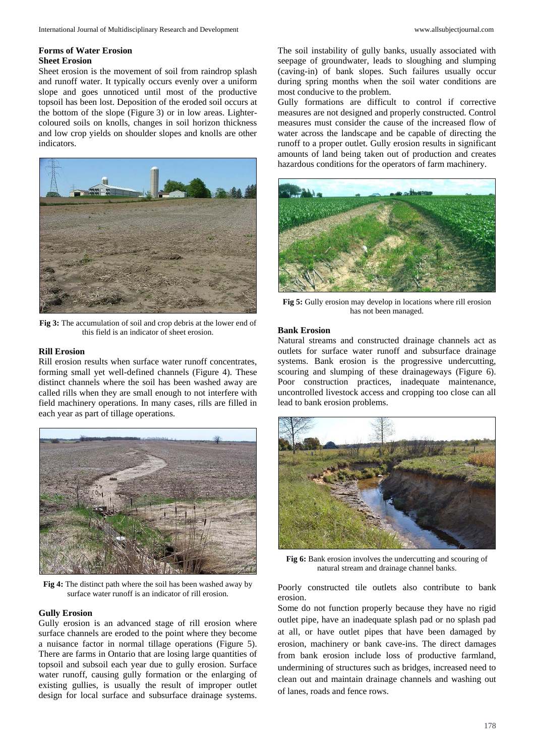#### **Forms of Water Erosion Sheet Erosion**

Sheet erosion is the movement of soil from raindrop splash and runoff water. It typically occurs evenly over a uniform slope and goes unnoticed until most of the productive topsoil has been lost. Deposition of the eroded soil occurs at the bottom of the slope (Figure 3) or in low areas. Lightercoloured soils on knolls, changes in soil horizon thickness and low crop yields on shoulder slopes and knolls are other indicators.



**Fig 3:** The accumulation of soil and crop debris at the lower end of this field is an indicator of sheet erosion.

### **Rill Erosion**

Rill erosion results when surface water runoff concentrates, forming small yet well-defined channels (Figure 4). These distinct channels where the soil has been washed away are called rills when they are small enough to not interfere with field machinery operations. In many cases, rills are filled in each year as part of tillage operations.



**Fig 4:** The distinct path where the soil has been washed away by surface water runoff is an indicator of rill erosion.

### **Gully Erosion**

Gully erosion is an advanced stage of rill erosion where surface channels are eroded to the point where they become a nuisance factor in normal tillage operations (Figure 5). There are farms in Ontario that are losing large quantities of topsoil and subsoil each year due to gully erosion. Surface water runoff, causing gully formation or the enlarging of existing gullies, is usually the result of improper outlet design for local surface and subsurface drainage systems.

The soil instability of gully banks, usually associated with seepage of groundwater, leads to sloughing and slumping (caving-in) of bank slopes. Such failures usually occur during spring months when the soil water conditions are most conducive to the problem.

Gully formations are difficult to control if corrective measures are not designed and properly constructed. Control measures must consider the cause of the increased flow of water across the landscape and be capable of directing the runoff to a proper outlet. Gully erosion results in significant amounts of land being taken out of production and creates hazardous conditions for the operators of farm machinery.



**Fig 5:** Gully erosion may develop in locations where rill erosion has not been managed.

### **Bank Erosion**

Natural streams and constructed drainage channels act as outlets for surface water runoff and subsurface drainage systems. Bank erosion is the progressive undercutting, scouring and slumping of these drainageways (Figure 6). Poor construction practices, inadequate maintenance, uncontrolled livestock access and cropping too close can all lead to bank erosion problems.



**Fig 6:** Bank erosion involves the undercutting and scouring of natural stream and drainage channel banks.

Poorly constructed tile outlets also contribute to bank erosion.

Some do not function properly because they have no rigid outlet pipe, have an inadequate splash pad or no splash pad at all, or have outlet pipes that have been damaged by erosion, machinery or bank cave-ins. The direct damages from bank erosion include loss of productive farmland, undermining of structures such as bridges, increased need to clean out and maintain drainage channels and washing out of lanes, roads and fence rows.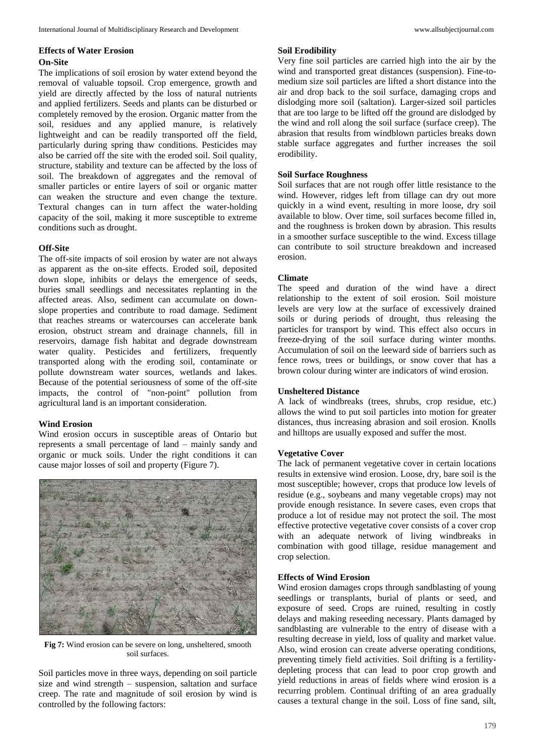## **Effects of Water Erosion On-Site**

The implications of soil erosion by water extend beyond the removal of valuable topsoil. Crop emergence, growth and yield are directly affected by the loss of natural nutrients and applied fertilizers. Seeds and plants can be disturbed or completely removed by the erosion. Organic matter from the soil, residues and any applied manure, is relatively lightweight and can be readily transported off the field, particularly during spring thaw conditions. Pesticides may also be carried off the site with the eroded soil. Soil quality, structure, stability and texture can be affected by the loss of soil. The breakdown of aggregates and the removal of smaller particles or entire layers of soil or organic matter can weaken the structure and even change the texture. Textural changes can in turn affect the water-holding capacity of the soil, making it more susceptible to extreme conditions such as drought.

## **Off-Site**

The off-site impacts of soil erosion by water are not always as apparent as the on-site effects. Eroded soil, deposited down slope, inhibits or delays the emergence of seeds, buries small seedlings and necessitates replanting in the affected areas. Also, sediment can accumulate on downslope properties and contribute to road damage. Sediment that reaches streams or watercourses can accelerate bank erosion, obstruct stream and drainage channels, fill in reservoirs, damage fish habitat and degrade downstream water quality. Pesticides and fertilizers, frequently transported along with the eroding soil, contaminate or pollute downstream water sources, wetlands and lakes. Because of the potential seriousness of some of the off-site impacts, the control of "non-point" pollution from agricultural land is an important consideration.

# **Wind Erosion**

Wind erosion occurs in susceptible areas of Ontario but represents a small percentage of land – mainly sandy and organic or muck soils. Under the right conditions it can cause major losses of soil and property (Figure 7).



**Fig 7:** Wind erosion can be severe on long, unsheltered, smooth soil surfaces.

Soil particles move in three ways, depending on soil particle size and wind strength – suspension, saltation and surface creep. The rate and magnitude of soil erosion by wind is controlled by the following factors:

## **Soil Erodibility**

Very fine soil particles are carried high into the air by the wind and transported great distances (suspension). Fine-tomedium size soil particles are lifted a short distance into the air and drop back to the soil surface, damaging crops and dislodging more soil (saltation). Larger-sized soil particles that are too large to be lifted off the ground are dislodged by the wind and roll along the soil surface (surface creep). The abrasion that results from windblown particles breaks down stable surface aggregates and further increases the soil erodibility.

### **Soil Surface Roughness**

Soil surfaces that are not rough offer little resistance to the wind. However, ridges left from tillage can dry out more quickly in a wind event, resulting in more loose, dry soil available to blow. Over time, soil surfaces become filled in, and the roughness is broken down by abrasion. This results in a smoother surface susceptible to the wind. Excess tillage can contribute to soil structure breakdown and increased erosion.

## **Climate**

The speed and duration of the wind have a direct relationship to the extent of soil erosion. Soil moisture levels are very low at the surface of excessively drained soils or during periods of drought, thus releasing the particles for transport by wind. This effect also occurs in freeze-drying of the soil surface during winter months. Accumulation of soil on the leeward side of barriers such as fence rows, trees or buildings, or snow cover that has a brown colour during winter are indicators of wind erosion.

### **Unsheltered Distance**

A lack of windbreaks (trees, shrubs, crop residue, etc.) allows the wind to put soil particles into motion for greater distances, thus increasing abrasion and soil erosion. Knolls and hilltops are usually exposed and suffer the most.

# **Vegetative Cover**

The lack of permanent vegetative cover in certain locations results in extensive wind erosion. Loose, dry, bare soil is the most susceptible; however, crops that produce low levels of residue (e.g., soybeans and many vegetable crops) may not provide enough resistance. In severe cases, even crops that produce a lot of residue may not protect the soil. The most effective protective vegetative cover consists of a cover crop with an adequate network of living windbreaks in combination with good tillage, residue management and crop selection.

# **Effects of Wind Erosion**

Wind erosion damages crops through sandblasting of young seedlings or transplants, burial of plants or seed, and exposure of seed. Crops are ruined, resulting in costly delays and making reseeding necessary. Plants damaged by sandblasting are vulnerable to the entry of disease with a resulting decrease in yield, loss of quality and market value. Also, wind erosion can create adverse operating conditions, preventing timely field activities. Soil drifting is a fertilitydepleting process that can lead to poor crop growth and yield reductions in areas of fields where wind erosion is a recurring problem. Continual drifting of an area gradually causes a textural change in the soil. Loss of fine sand, silt,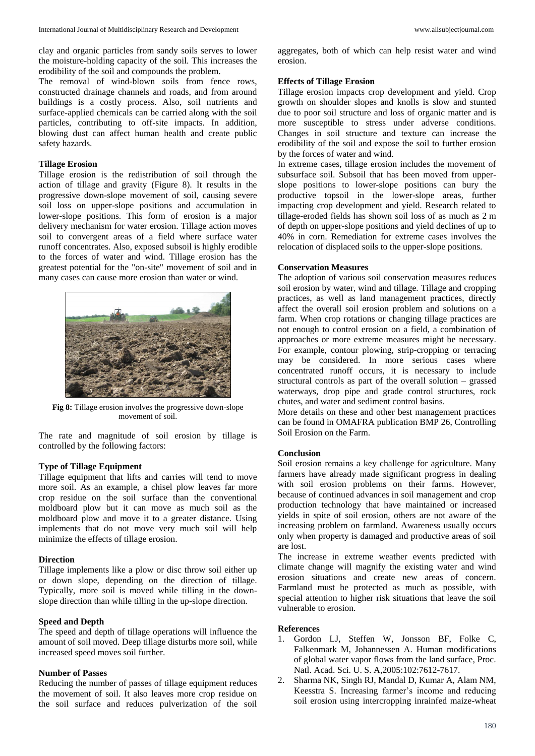clay and organic particles from sandy soils serves to lower the moisture-holding capacity of the soil. This increases the erodibility of the soil and compounds the problem.

The removal of wind-blown soils from fence rows, constructed drainage channels and roads, and from around buildings is a costly process. Also, soil nutrients and surface-applied chemicals can be carried along with the soil particles, contributing to off-site impacts. In addition, blowing dust can affect human health and create public safety hazards.

### **Tillage Erosion**

Tillage erosion is the redistribution of soil through the action of tillage and gravity (Figure 8). It results in the progressive down-slope movement of soil, causing severe soil loss on upper-slope positions and accumulation in lower-slope positions. This form of erosion is a major delivery mechanism for water erosion. Tillage action moves soil to convergent areas of a field where surface water runoff concentrates. Also, exposed subsoil is highly erodible to the forces of water and wind. Tillage erosion has the greatest potential for the "on-site" movement of soil and in many cases can cause more erosion than water or wind.



**Fig 8:** Tillage erosion involves the progressive down-slope movement of soil.

The rate and magnitude of soil erosion by tillage is controlled by the following factors:

### **Type of Tillage Equipment**

Tillage equipment that lifts and carries will tend to move more soil. As an example, a chisel plow leaves far more crop residue on the soil surface than the conventional moldboard plow but it can move as much soil as the moldboard plow and move it to a greater distance. Using implements that do not move very much soil will help minimize the effects of tillage erosion.

#### **Direction**

Tillage implements like a plow or disc throw soil either up or down slope, depending on the direction of tillage. Typically, more soil is moved while tilling in the downslope direction than while tilling in the up-slope direction.

#### **Speed and Depth**

The speed and depth of tillage operations will influence the amount of soil moved. Deep tillage disturbs more soil, while increased speed moves soil further.

### **Number of Passes**

Reducing the number of passes of tillage equipment reduces the movement of soil. It also leaves more crop residue on the soil surface and reduces pulverization of the soil aggregates, both of which can help resist water and wind erosion.

#### **Effects of Tillage Erosion**

Tillage erosion impacts crop development and yield. Crop growth on shoulder slopes and knolls is slow and stunted due to poor soil structure and loss of organic matter and is more susceptible to stress under adverse conditions. Changes in soil structure and texture can increase the erodibility of the soil and expose the soil to further erosion by the forces of water and wind.

In extreme cases, tillage erosion includes the movement of subsurface soil. Subsoil that has been moved from upperslope positions to lower-slope positions can bury the productive topsoil in the lower-slope areas, further impacting crop development and yield. Research related to tillage-eroded fields has shown soil loss of as much as 2 m of depth on upper-slope positions and yield declines of up to 40% in corn. Remediation for extreme cases involves the relocation of displaced soils to the upper-slope positions.

#### **Conservation Measures**

The adoption of various soil conservation measures reduces soil erosion by water, wind and tillage. Tillage and cropping practices, as well as land management practices, directly affect the overall soil erosion problem and solutions on a farm. When crop rotations or changing tillage practices are not enough to control erosion on a field, a combination of approaches or more extreme measures might be necessary. For example, contour plowing, strip-cropping or terracing may be considered. In more serious cases where concentrated runoff occurs, it is necessary to include structural controls as part of the overall solution – grassed waterways, drop pipe and grade control structures, rock chutes, and water and sediment control basins.

More details on these and other best management practices can be found in OMAFRA publication BMP 26, Controlling Soil Erosion on the Farm.

### **Conclusion**

Soil erosion remains a key challenge for agriculture. Many farmers have already made significant progress in dealing with soil erosion problems on their farms. However, because of continued advances in soil management and crop production technology that have maintained or increased yields in spite of soil erosion, others are not aware of the increasing problem on farmland. Awareness usually occurs only when property is damaged and productive areas of soil are lost.

The increase in extreme weather events predicted with climate change will magnify the existing water and wind erosion situations and create new areas of concern. Farmland must be protected as much as possible, with special attention to higher risk situations that leave the soil vulnerable to erosion.

#### **References**

- 1. Gordon LJ, Steffen W, Jonsson BF, Folke C, Falkenmark M, Johannessen A. Human modifications of global water vapor flows from the land surface, Proc. Natl. Acad. Sci. U. S. A,2005:102:7612-7617.
- 2. Sharma NK, Singh RJ, Mandal D, Kumar A, Alam NM, Keesstra S. Increasing farmer's income and reducing soil erosion using intercropping inrainfed maize-wheat